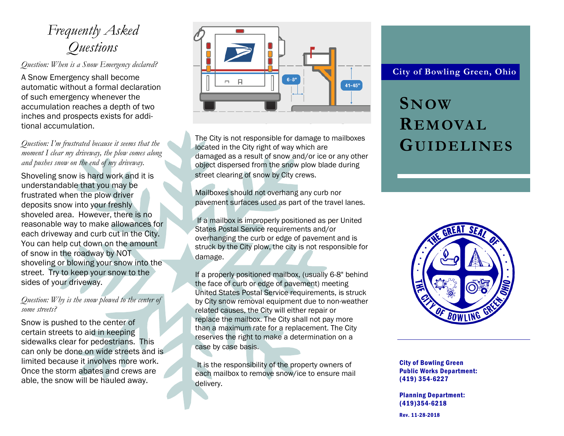## *Frequently Asked Questions*

*Question: When is a Snow Emergency declared?*

A Snow Emergency shall become automatic without a formal declaration of such emergency whenever the accumulation reaches a depth of two inches and prospects exists for additional accumulation.

*Question: I'm frustrated because it seems that the moment I clear my driveway, the plow comes along and pushes snow on the end of my driveway.*

Shoveling snow is hard work and it is understandable that you may be frustrated when the plow driver deposits snow into your freshly shoveled area. However, there is no reasonable way to make allowances for each driveway and curb cut in the City. You can help cut down on the amount of snow in the roadway by NOT shoveling or blowing your snow into the street. Try to keep your snow to the sides of your driveway.

#### *Question: Why is the snow plowed to the center of some streets?*

Snow is pushed to the center of certain streets to aid in keeping sidewalks clear for pedestrians. This can only be done on wide streets and is limited because it involves more work. Once the storm abates and crews are able, the snow will be hauled away.



The City is not responsible for damage to mailboxes located in the City right of way which are damaged as a result of snow and/or ice or any other object dispersed from the snow plow blade during street clearing of snow by City crews.

Mailboxes should not overhang any curb nor pavement surfaces used as part of the travel lanes.

If a mailbox is improperly positioned as per United States Postal Service requirements and/or overhanging the curb or edge of pavement and is struck by the City plow, the city is not responsible for damage.

If a properly positioned mailbox, (usually 6-8" behind the face of curb or edge of pavement) meeting United States Postal Service requirements, is struck by City snow removal equipment due to non-weather related causes, the City will either repair or replace the mailbox. The City shall not pay more than a maximum rate for a replacement. The City reserves the right to make a determination on a case by case basis.

It is the responsibility of the property owners of each mailbox to remove snow/ice to ensure mail delivery.

#### **City of Bowling Green, Ohio**

# **SNOW REMOVAL GUIDELINES**



City of Bowling Green Public Works Department: (419) 354-6227

Planning Department: (419)354-6218

Rev. 11-28-2018